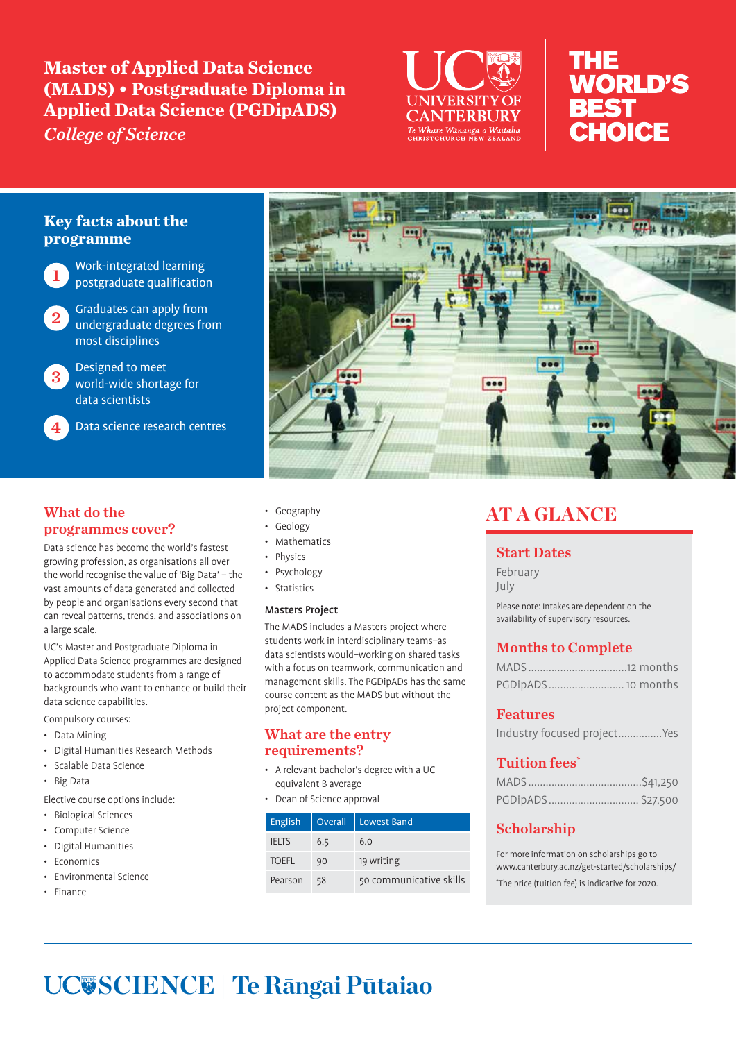# **Master of Applied Data Science (MADS) • Postgraduate Diploma in Applied Data Science (PGDipADS)**

*College of Science*



# THE **WORLD'S BEST** CHOICE

#### **Key facts about the programme**



Work-integrated learning postgraduate qualification

2 Graduates can apply from<br>2 undergraduate degrees from most disciplines

Designed to meet world-wide shortage for data scientists

Data science research centres

### What do the programmes cover?

Data science has become the world's fastest growing profession, as organisations all over the world recognise the value of 'Big Data' – the vast amounts of data generated and collected by people and organisations every second that can reveal patterns, trends, and associations on a large scale.

UC's Master and Postgraduate Diploma in Applied Data Science programmes are designed to accommodate students from a range of backgrounds who want to enhance or build their data science capabilities.

Compulsory courses:

- Data Mining
- Digital Humanities Research Methods
- Scalable Data Science
- Big Data

Elective course options include:

- Biological Sciences
- Computer Science
- Digital Humanities
- Economics
- Environmental Science
- Finance
- Geography
- Geology
- **Mathematics**
- Physics
- Psychology
- Statistics

#### Masters Project

The MADS includes a Masters project where students work in interdisciplinary teams–as data scientists would–working on shared tasks with a focus on teamwork, communication and management skills. The PGDipADs has the same course content as the MADS but without the project component.

#### What are the entry requirements?

- A relevant bachelor's degree with a UC equivalent B average
- Dean of Science approval

| English      | Overall | Lowest Band             |
|--------------|---------|-------------------------|
| <b>IELTS</b> | 6.5     | 6.0                     |
| <b>TOEFL</b> | 90      | 19 writing              |
| Pearson      | 58      | 50 communicative skills |

# AT A GLANCE

#### Start Dates

February July

Please note: Intakes are dependent on the availability of supervisory resources.

### Months to Complete

| PGDipADS 10 months |  |
|--------------------|--|

### Features

Industry focused project...............Yes

#### Tuition fees\*

| PGDipADS \$27,500 |  |
|-------------------|--|

### Scholarship

For more information on scholarships go to www.canterbury.ac.nz/get-started/scholarships/ \* The price (tuition fee) is indicative for 2020.

# **SCIENCE | Te Rāngai Pūtaiao**